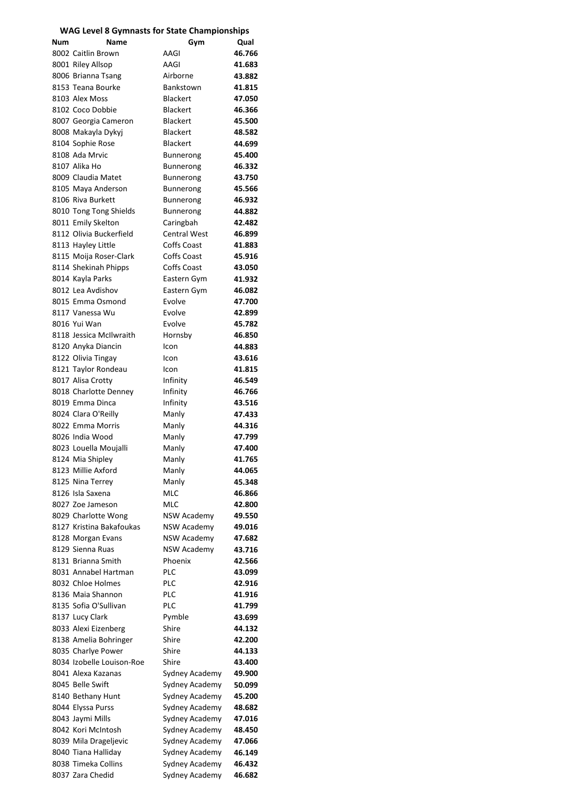## **WAG Level 8 Gymnasts for State Championships**

| Num | Name                                            | Gym                                | Qual             |
|-----|-------------------------------------------------|------------------------------------|------------------|
|     | 8002 Caitlin Brown                              | AAGI                               | 46.766           |
|     | 8001 Riley Allsop                               | AAGI                               | 41.683           |
|     | 8006 Brianna Tsang                              | Airborne                           | 43.882           |
|     | 8153 Teana Bourke                               | Bankstown                          | 41.815           |
|     | 8103 Alex Moss                                  | <b>Blackert</b>                    | 47.050           |
|     | 8102 Coco Dobbie                                | <b>Blackert</b><br><b>Blackert</b> | 46.366           |
|     | 8007 Georgia Cameron<br>8008 Makayla Dykyj      | <b>Blackert</b>                    | 45.500<br>48.582 |
|     | 8104 Sophie Rose                                | <b>Blackert</b>                    | 44.699           |
|     | 8108 Ada Mrvic                                  | Bunnerong                          | 45.400           |
|     | 8107 Alika Ho                                   | Bunnerong                          | 46.332           |
|     | 8009 Claudia Matet                              | Bunnerong                          | 43.750           |
|     | 8105 Maya Anderson                              | Bunnerong                          | 45.566           |
|     | 8106 Riva Burkett                               | Bunnerong                          | 46.932           |
|     | 8010 Tong Tong Shields                          | Bunnerong                          | 44.882           |
|     | 8011 Emily Skelton                              | Caringbah                          | 42.482           |
|     | 8112 Olivia Buckerfield                         | <b>Central West</b>                | 46.899           |
|     | 8113 Hayley Little                              | Coffs Coast                        | 41.883           |
|     | 8115 Moija Roser-Clark                          | Coffs Coast                        | 45.916           |
|     | 8114 Shekinah Phipps                            | Coffs Coast                        | 43.050           |
|     | 8014 Kayla Parks                                | Eastern Gym                        | 41.932           |
|     | 8012 Lea Avdishov                               | Eastern Gym                        | 46.082           |
|     | 8015 Emma Osmond                                | Evolve                             | 47.700           |
|     | 8117 Vanessa Wu                                 | Evolve                             | 42.899           |
|     | 8016 Yui Wan                                    | Evolve                             | 45.782           |
|     | 8118 Jessica McIlwraith                         | Hornsby                            | 46.850           |
|     | 8120 Anyka Diancin                              | Icon                               | 44.883           |
|     | 8122 Olivia Tingay                              | Icon                               | 43.616           |
|     | 8121 Taylor Rondeau                             | Icon                               | 41.815           |
|     | 8017 Alisa Crotty                               | Infinity                           | 46.549           |
|     | 8018 Charlotte Denney                           | Infinity                           | 46.766           |
|     | 8019 Emma Dinca                                 | Infinity                           | 43.516           |
|     | 8024 Clara O'Reilly                             | Manly                              | 47.433           |
|     | 8022 Emma Morris                                | Manly                              | 44.316           |
|     | 8026 India Wood                                 | Manly                              | 47.799           |
|     | 8023 Louella Moujalli                           | Manly                              | 47.400           |
|     | 8124 Mia Shipley                                | Manly                              | 41.765           |
|     | 8123 Millie Axford                              | Manly                              | 44.065           |
|     | 8125 Nina Terrey                                | Manly                              | 45.348           |
|     | 8126 Isla Saxena                                | MLC                                | 46.866           |
|     | 8027 Zoe Jameson                                | <b>MLC</b>                         | 42.800           |
|     | 8029 Charlotte Wong                             | <b>NSW Academy</b>                 | 49.550           |
|     | 8127 Kristina Bakafoukas                        | <b>NSW Academy</b>                 | 49.016           |
|     | 8128 Morgan Evans                               | <b>NSW Academy</b>                 | 47.682           |
|     | 8129 Sienna Ruas                                | <b>NSW Academy</b>                 | 43.716           |
|     | 8131 Brianna Smith                              | Phoenix                            | 42.566           |
|     | 8031 Annabel Hartman                            | PLC                                | 43.099           |
|     | 8032 Chloe Holmes                               | PLC                                | 42.916           |
|     | 8136 Maia Shannon                               | PLC                                | 41.916           |
|     | 8135 Sofia O'Sullivan                           | PLC                                | 41.799           |
|     | 8137 Lucy Clark                                 | Pymble                             | 43.699           |
|     | 8033 Alexi Eizenberg                            | Shire                              | 44.132           |
|     | 8138 Amelia Bohringer                           | Shire<br>Shire                     | 42.200           |
|     | 8035 Charlye Power<br>8034 Izobelle Louison-Roe | Shire                              | 44.133           |
|     | 8041 Alexa Kazanas                              | Sydney Academy                     | 43.400<br>49.900 |
|     | 8045 Belle Swift                                | Sydney Academy                     | 50.099           |
|     | 8140 Bethany Hunt                               | Sydney Academy                     | 45.200           |
|     | 8044 Elyssa Purss                               | Sydney Academy                     | 48.682           |
|     | 8043 Jaymi Mills                                | Sydney Academy                     | 47.016           |
|     | 8042 Kori McIntosh                              | Sydney Academy                     | 48.450           |
|     | 8039 Mila Drageljevic                           | Sydney Academy                     | 47.066           |
|     | 8040 Tiana Halliday                             | Sydney Academy                     | 46.149           |
|     | 8038 Timeka Collins                             | Sydney Academy                     | 46.432           |
|     | 8037 Zara Chedid                                | Sydney Academy                     | 46.682           |